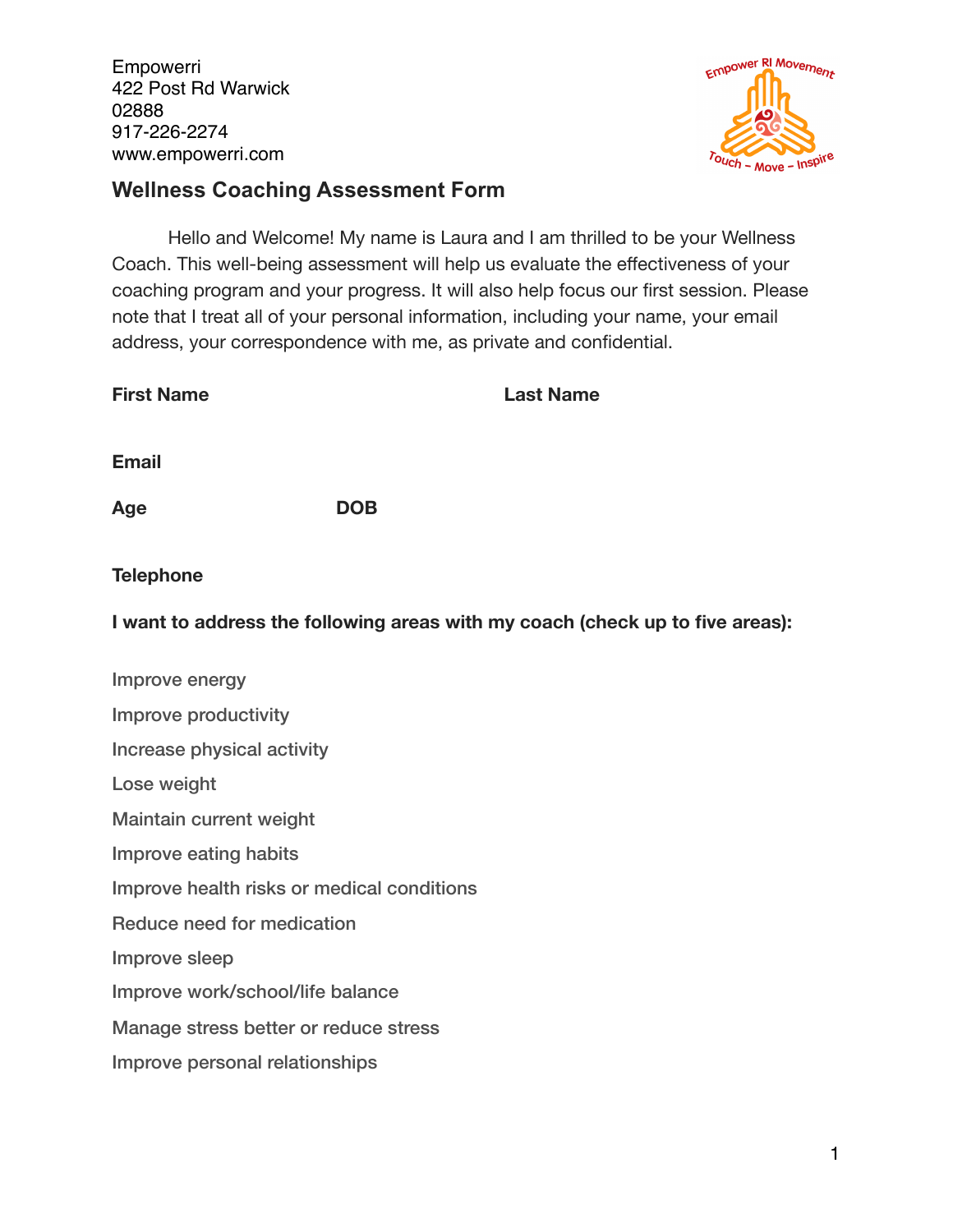

## **Wellness Coaching Assessment Form**

Hello and Welcome! My name is Laura and I am thrilled to be your Wellness Coach. This well-being assessment will help us evaluate the effectiveness of your coaching program and your progress. It will also help focus our first session. Please note that I treat all of your personal information, including your name, your email address, your correspondence with me, as private and confidential.

| <b>First Name</b>                          | <b>Last Name</b>                                                              |
|--------------------------------------------|-------------------------------------------------------------------------------|
| <b>Email</b>                               |                                                                               |
| Age                                        | <b>DOB</b>                                                                    |
| <b>Telephone</b>                           |                                                                               |
|                                            | I want to address the following areas with my coach (check up to five areas): |
| Improve energy                             |                                                                               |
| Improve productivity                       |                                                                               |
| Increase physical activity                 |                                                                               |
| Lose weight                                |                                                                               |
| Maintain current weight                    |                                                                               |
| Improve eating habits                      |                                                                               |
| Improve health risks or medical conditions |                                                                               |
| Reduce need for medication                 |                                                                               |
| Improve sleep                              |                                                                               |
| Improve work/school/life balance           |                                                                               |
| Manage stress better or reduce stress      |                                                                               |
| Improve personal relationships             |                                                                               |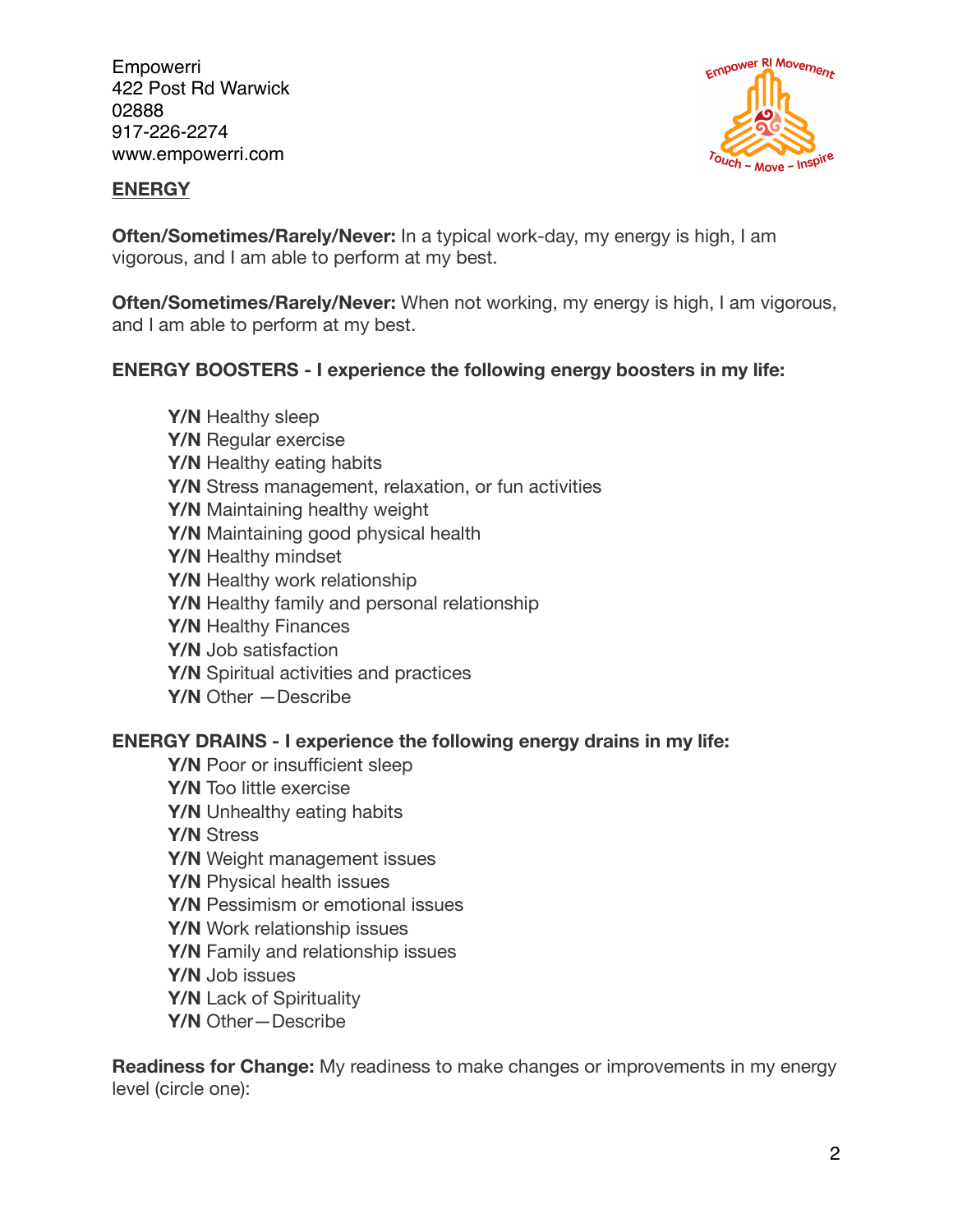

#### **ENERGY**

**Often/Sometimes/Rarely/Never:** In a typical work-day, my energy is high, I am vigorous, and I am able to perform at my best.

**Often/Sometimes/Rarely/Never:** When not working, my energy is high, I am vigorous, and I am able to perform at my best.

## **ENERGY BOOSTERS - I experience the following energy boosters in my life:**

**Y/N** Healthy sleep **Y/N** Regular exercise **Y/N** Healthy eating habits **Y/N** Stress management, relaxation, or fun activities **Y/N** Maintaining healthy weight **Y/N** Maintaining good physical health **Y/N** Healthy mindset **Y/N** Healthy work relationship **Y/N** Healthy family and personal relationship **Y/N** Healthy Finances **Y/N** Job satisfaction **Y/N** Spiritual activities and practices **Y/N** Other —Describe

## **ENERGY DRAINS - I experience the following energy drains in my life:**

**Y/N** Poor or insufficient sleep **Y/N** Too little exercise **Y/N** Unhealthy eating habits **Y/N** Stress **Y/N** Weight management issues **Y/N** Physical health issues **Y/N** Pessimism or emotional issues **Y/N** Work relationship issues **Y/N** Family and relationship issues **Y/N** Job issues **Y/N** Lack of Spirituality **Y/N** Other—Describe

**Readiness for Change:** My readiness to make changes or improvements in my energy level (circle one):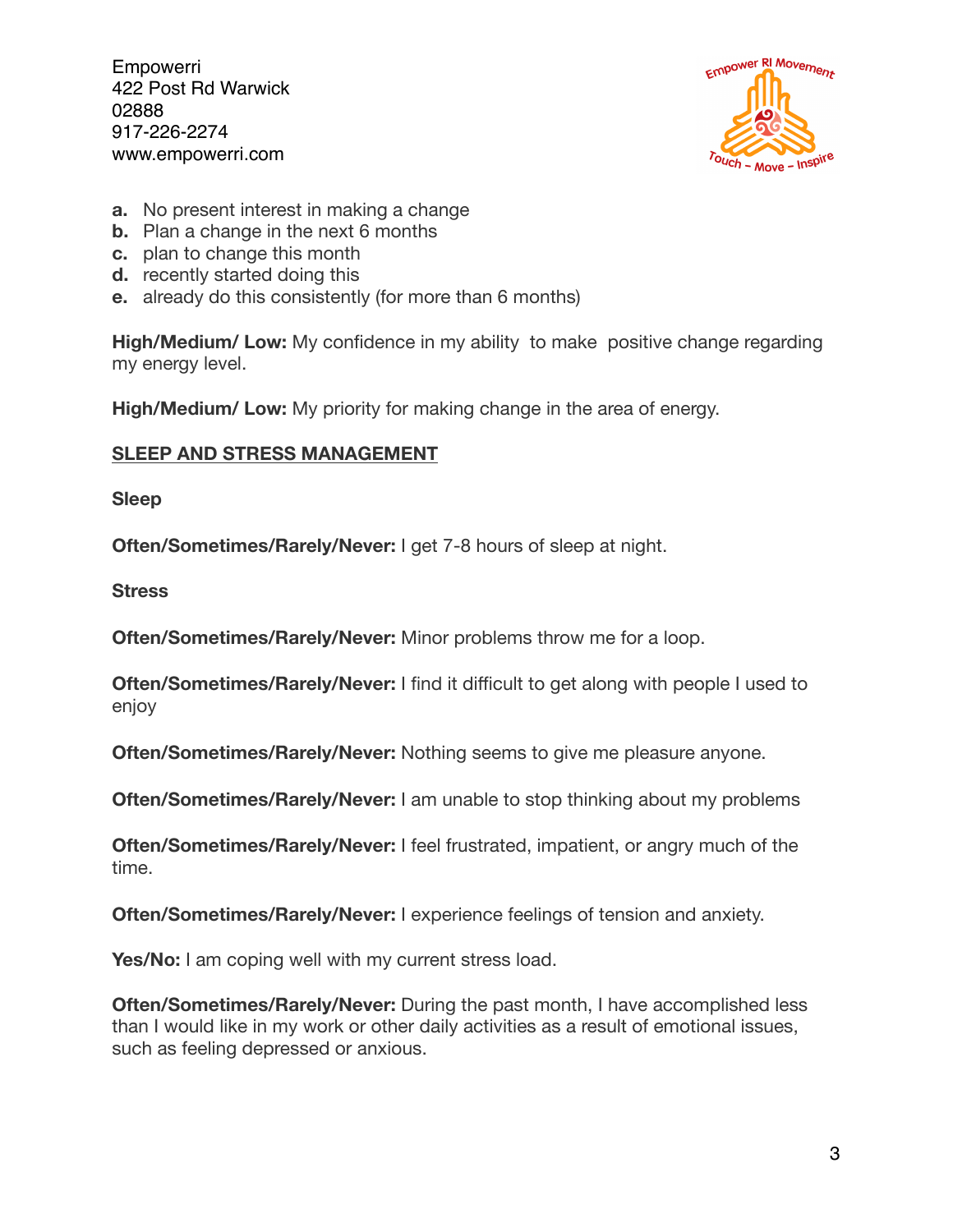

- **a.** No present interest in making a change
- **b.** Plan a change in the next 6 months
- **c.** plan to change this month
- **d.** recently started doing this
- **e.** already do this consistently (for more than 6 months)

**High/Medium/ Low:** My confidence in my ability to make positive change regarding my energy level.

**High/Medium/ Low:** My priority for making change in the area of energy.

## **SLEEP AND STRESS MANAGEMENT**

**Sleep** 

**Often/Sometimes/Rarely/Never:** I get 7-8 hours of sleep at night.

**Stress** 

**Often/Sometimes/Rarely/Never:** Minor problems throw me for a loop.

**Often/Sometimes/Rarely/Never:** I find it difficult to get along with people I used to enjoy

**Often/Sometimes/Rarely/Never:** Nothing seems to give me pleasure anyone.

**Often/Sometimes/Rarely/Never:** I am unable to stop thinking about my problems

**Often/Sometimes/Rarely/Never:** I feel frustrated, impatient, or angry much of the time.

**Often/Sometimes/Rarely/Never:** I experience feelings of tension and anxiety.

Yes/No: I am coping well with my current stress load.

**Often/Sometimes/Rarely/Never:** During the past month, I have accomplished less than I would like in my work or other daily activities as a result of emotional issues, such as feeling depressed or anxious.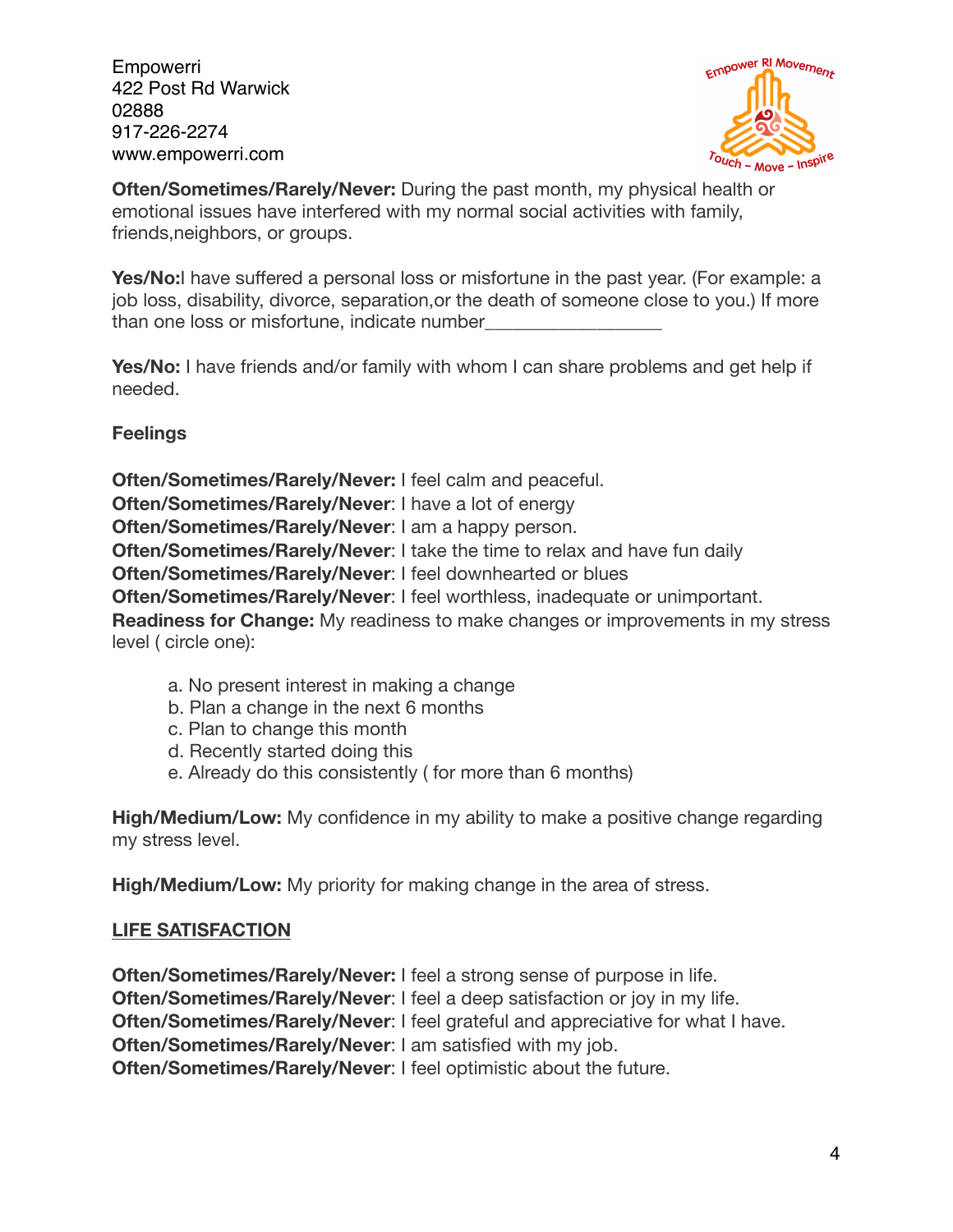

**Often/Sometimes/Rarely/Never:** During the past month, my physical health or emotional issues have interfered with my normal social activities with family, friends,neighbors, or groups.

Yes/No:I have suffered a personal loss or misfortune in the past year. (For example: a job loss, disability, divorce, separation,or the death of someone close to you.) If more than one loss or misfortune, indicate number

**Yes/No:** I have friends and/or family with whom I can share problems and get help if needed.

**Feelings** 

**Often/Sometimes/Rarely/Never:** I feel calm and peaceful. **Often/Sometimes/Rarely/Never**: I have a lot of energy **Often/Sometimes/Rarely/Never**: I am a happy person. **Often/Sometimes/Rarely/Never**: I take the time to relax and have fun daily **Often/Sometimes/Rarely/Never**: I feel downhearted or blues **Often/Sometimes/Rarely/Never**: I feel worthless, inadequate or unimportant. **Readiness for Change:** My readiness to make changes or improvements in my stress level ( circle one):

- a. No present interest in making a change
- b. Plan a change in the next 6 months
- c. Plan to change this month
- d. Recently started doing this
- e. Already do this consistently ( for more than 6 months)

**High/Medium/Low:** My confidence in my ability to make a positive change regarding my stress level.

**High/Medium/Low:** My priority for making change in the area of stress.

## **LIFE SATISFACTION**

**Often/Sometimes/Rarely/Never:** I feel a strong sense of purpose in life. **Often/Sometimes/Rarely/Never: I feel a deep satisfaction or joy in my life. Often/Sometimes/Rarely/Never: I feel grateful and appreciative for what I have. Often/Sometimes/Rarely/Never**: I am satisfied with my job. **Often/Sometimes/Rarely/Never**: I feel optimistic about the future.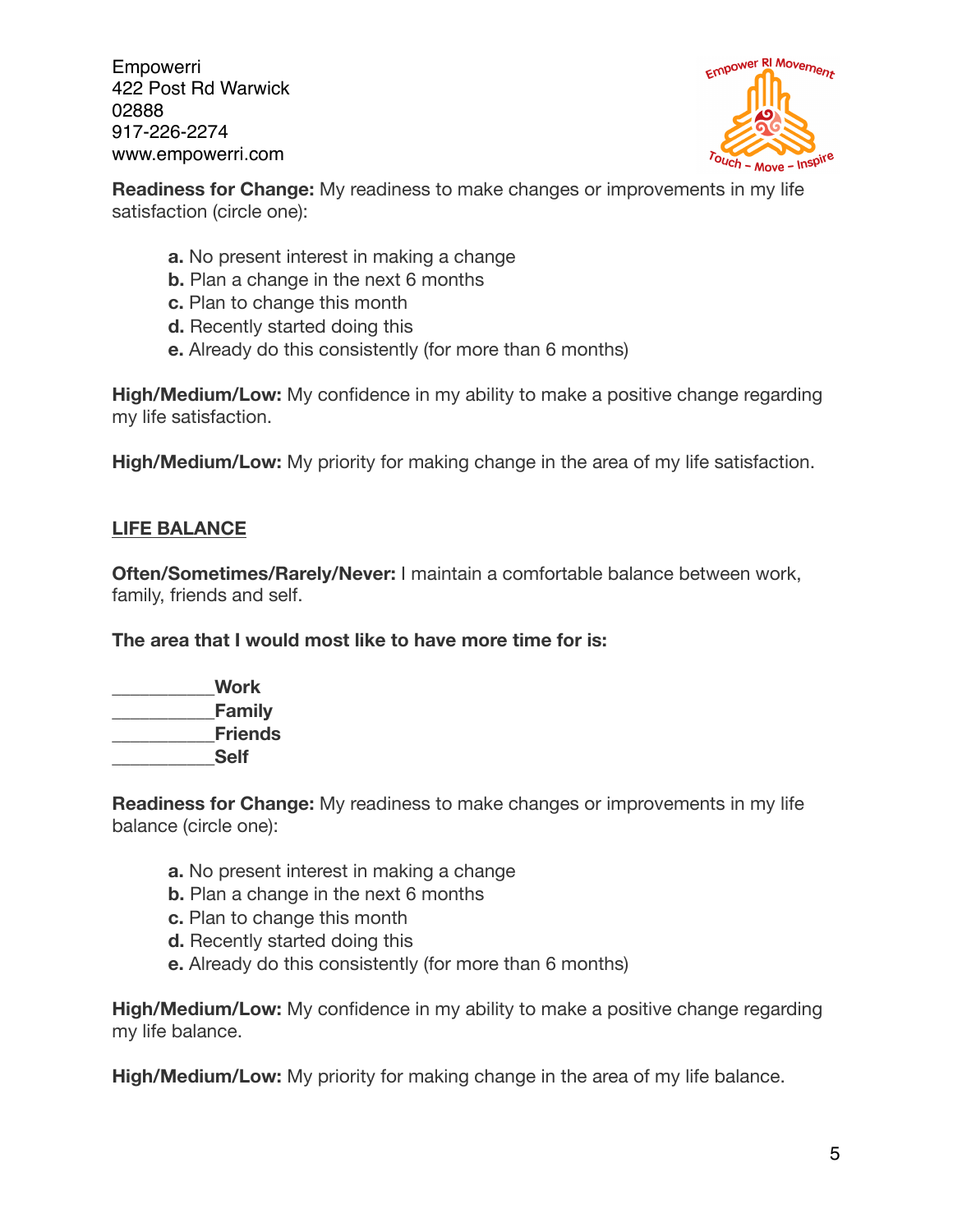

**Readiness for Change:** My readiness to make changes or improvements in my life satisfaction (circle one):

- **a.** No present interest in making a change
- **b.** Plan a change in the next 6 months
- **c.** Plan to change this month
- **d.** Recently started doing this
- **e.** Already do this consistently (for more than 6 months)

**High/Medium/Low:** My confidence in my ability to make a positive change regarding my life satisfaction.

**High/Medium/Low:** My priority for making change in the area of my life satisfaction.

## **LIFE BALANCE**

**Often/Sometimes/Rarely/Never:** I maintain a comfortable balance between work, family, friends and self.

**The area that I would most like to have more time for is:** 

**\_\_\_\_\_\_\_\_\_\_\_Work \_\_\_\_\_\_\_\_\_\_\_Family \_\_\_\_\_\_\_\_\_\_\_Friends \_\_\_\_\_\_\_\_\_\_\_Self** 

**Readiness for Change:** My readiness to make changes or improvements in my life balance (circle one):

- **a.** No present interest in making a change
- **b.** Plan a change in the next 6 months
- **c.** Plan to change this month
- **d.** Recently started doing this
- **e.** Already do this consistently (for more than 6 months)

**High/Medium/Low:** My confidence in my ability to make a positive change regarding my life balance.

**High/Medium/Low:** My priority for making change in the area of my life balance.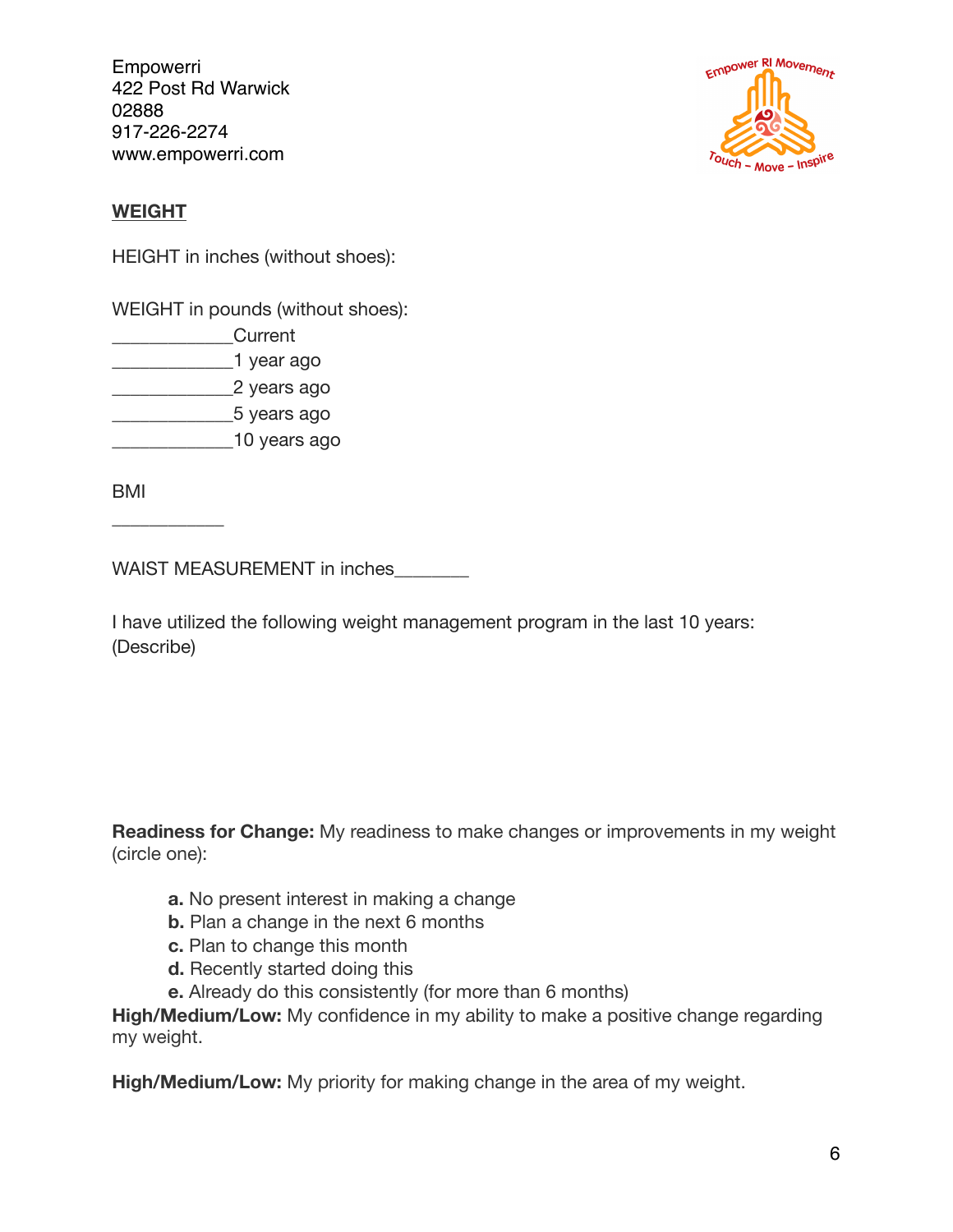

## **WEIGHT**

HEIGHT in inches (without shoes):

WEIGHT in pounds (without shoes):

- \_\_\_\_\_\_\_\_\_\_\_\_\_Current
- \_\_\_\_\_\_\_\_\_\_\_\_\_1 year ago
- \_\_\_\_\_\_\_\_\_\_\_\_\_2 years ago
- \_\_\_\_\_\_\_\_\_\_\_\_\_5 years ago
- \_\_\_\_\_\_\_\_\_\_\_\_\_10 years ago

BMI

 $\overline{\phantom{a}}$  , where  $\overline{\phantom{a}}$ 

WAIST MEASUREMENT in inches

I have utilized the following weight management program in the last 10 years: (Describe)

**Readiness for Change:** My readiness to make changes or improvements in my weight (circle one):

- **a.** No present interest in making a change
- **b.** Plan a change in the next 6 months
- **c.** Plan to change this month
- **d.** Recently started doing this
- **e.** Already do this consistently (for more than 6 months)

**High/Medium/Low:** My confidence in my ability to make a positive change regarding my weight.

**High/Medium/Low:** My priority for making change in the area of my weight.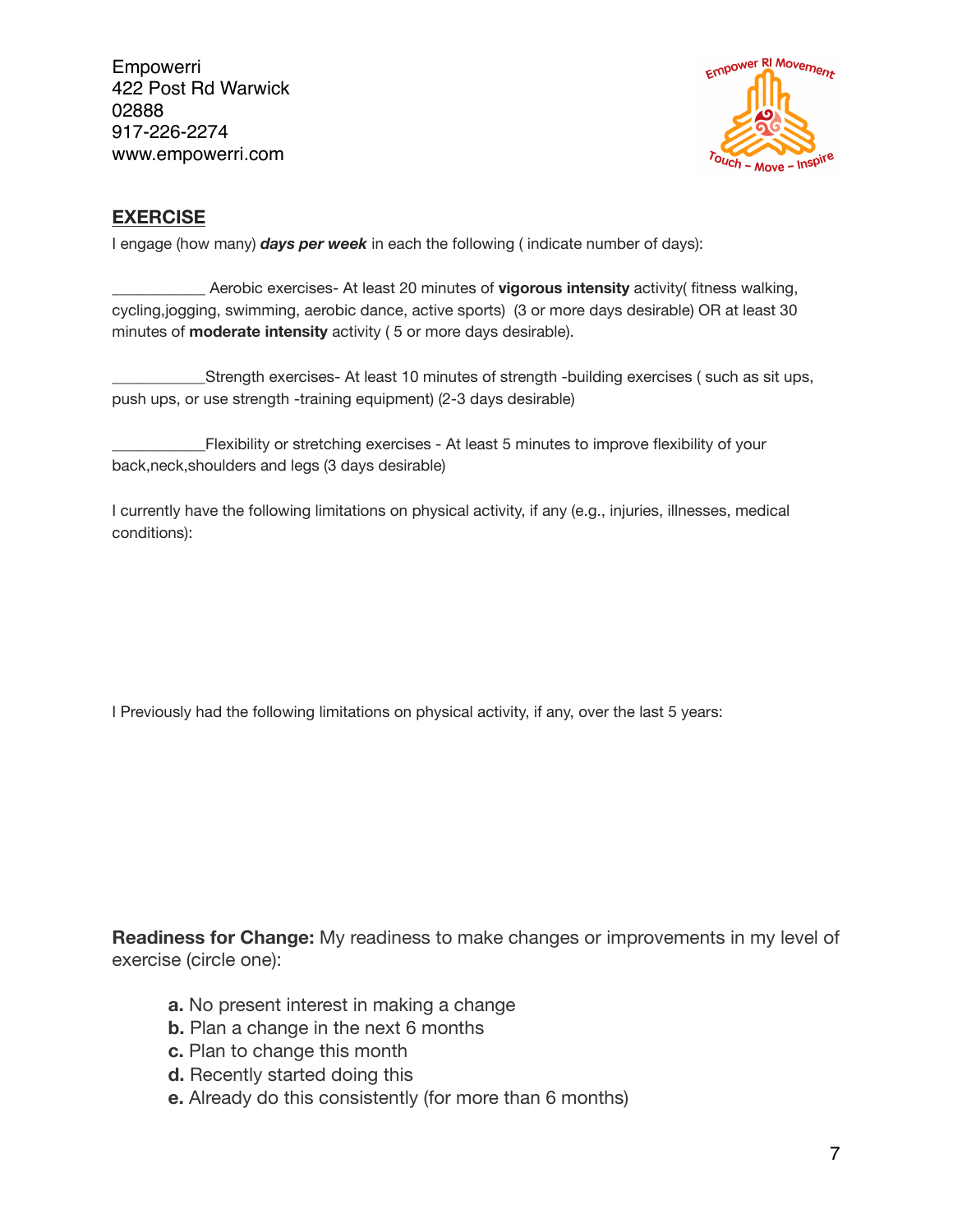

#### **EXERCISE**

I engage (how many) *days per week* in each the following ( indicate number of days):

\_\_\_\_\_\_\_\_\_\_\_\_ Aerobic exercises- At least 20 minutes of **vigorous intensity** activity( fitness walking, cycling,jogging, swimming, aerobic dance, active sports) (3 or more days desirable) OR at least 30 minutes of **moderate intensity** activity ( 5 or more days desirable).

Strength exercises- At least 10 minutes of strength -building exercises ( such as sit ups, push ups, or use strength -training equipment) (2-3 days desirable)

\_\_\_\_\_\_\_\_\_\_\_\_Flexibility or stretching exercises - At least 5 minutes to improve flexibility of your back,neck,shoulders and legs (3 days desirable)

I currently have the following limitations on physical activity, if any (e.g., injuries, illnesses, medical conditions):

I Previously had the following limitations on physical activity, if any, over the last 5 years:

**Readiness for Change:** My readiness to make changes or improvements in my level of exercise (circle one):

- **a.** No present interest in making a change
- **b.** Plan a change in the next 6 months
- **c.** Plan to change this month
- **d.** Recently started doing this
- **e.** Already do this consistently (for more than 6 months)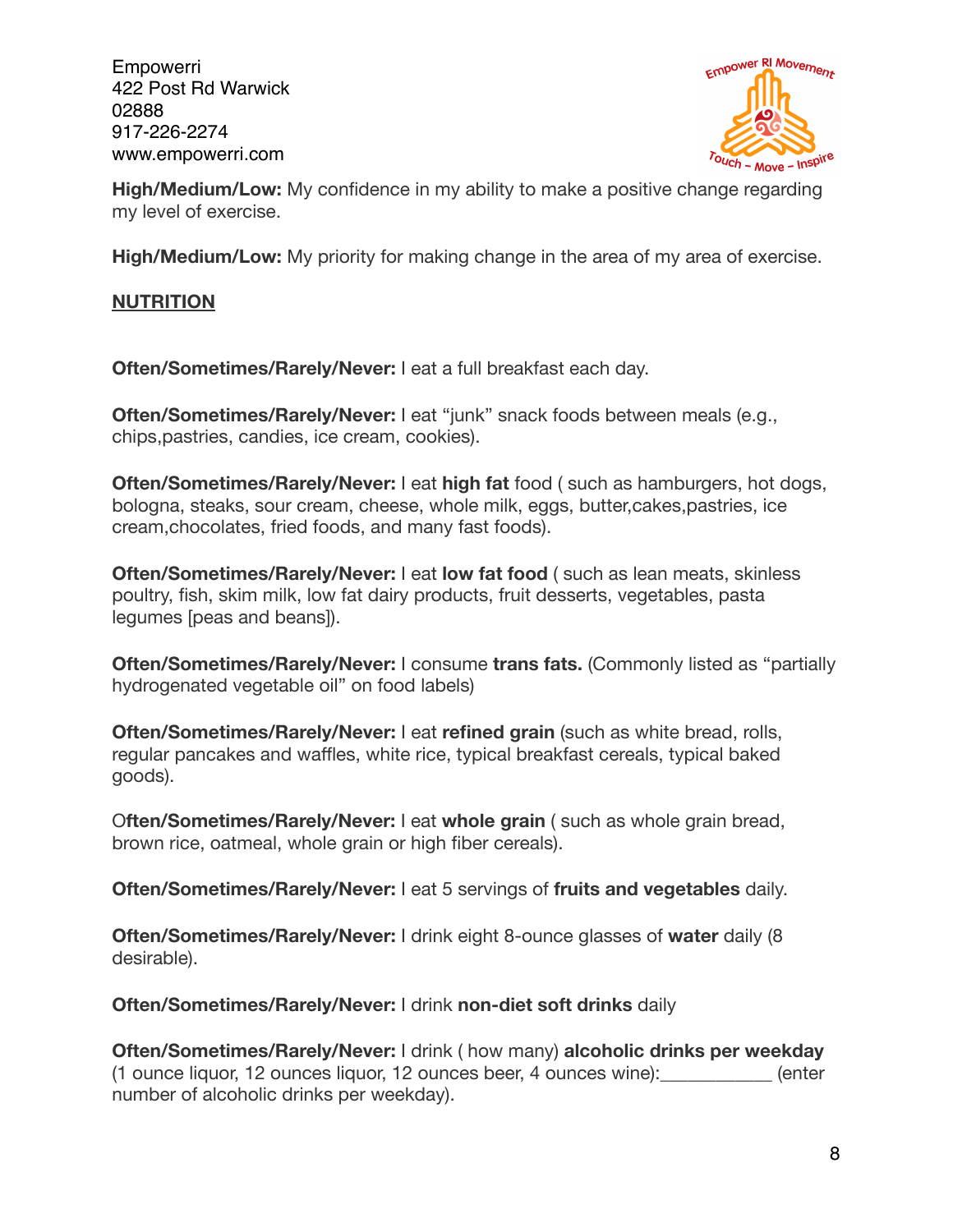

**High/Medium/Low:** My confidence in my ability to make a positive change regarding my level of exercise.

**High/Medium/Low:** My priority for making change in the area of my area of exercise.

## **NUTRITION**

**Often/Sometimes/Rarely/Never:** I eat a full breakfast each day.

**Often/Sometimes/Rarely/Never:** I eat "junk" snack foods between meals (e.g., chips,pastries, candies, ice cream, cookies).

**Often/Sometimes/Rarely/Never:** I eat **high fat** food ( such as hamburgers, hot dogs, bologna, steaks, sour cream, cheese, whole milk, eggs, butter,cakes,pastries, ice cream,chocolates, fried foods, and many fast foods).

**Often/Sometimes/Rarely/Never:** I eat **low fat food** ( such as lean meats, skinless poultry, fish, skim milk, low fat dairy products, fruit desserts, vegetables, pasta legumes [peas and beans]).

**Often/Sometimes/Rarely/Never:** I consume **trans fats.** (Commonly listed as "partially hydrogenated vegetable oil" on food labels)

**Often/Sometimes/Rarely/Never:** I eat **refined grain** (such as white bread, rolls, regular pancakes and waffles, white rice, typical breakfast cereals, typical baked goods).

O**ften/Sometimes/Rarely/Never:** I eat **whole grain** ( such as whole grain bread, brown rice, oatmeal, whole grain or high fiber cereals).

**Often/Sometimes/Rarely/Never:** I eat 5 servings of **fruits and vegetables** daily.

**Often/Sometimes/Rarely/Never:** I drink eight 8-ounce glasses of **water** daily (8 desirable).

**Often/Sometimes/Rarely/Never:** I drink **non-diet soft drinks** daily

**Often/Sometimes/Rarely/Never:** I drink ( how many) **alcoholic drinks per weekday**  (1 ounce liquor, 12 ounces liquor, 12 ounces beer, 4 ounces wine):\_\_\_\_\_\_\_\_\_\_\_\_ (enter number of alcoholic drinks per weekday).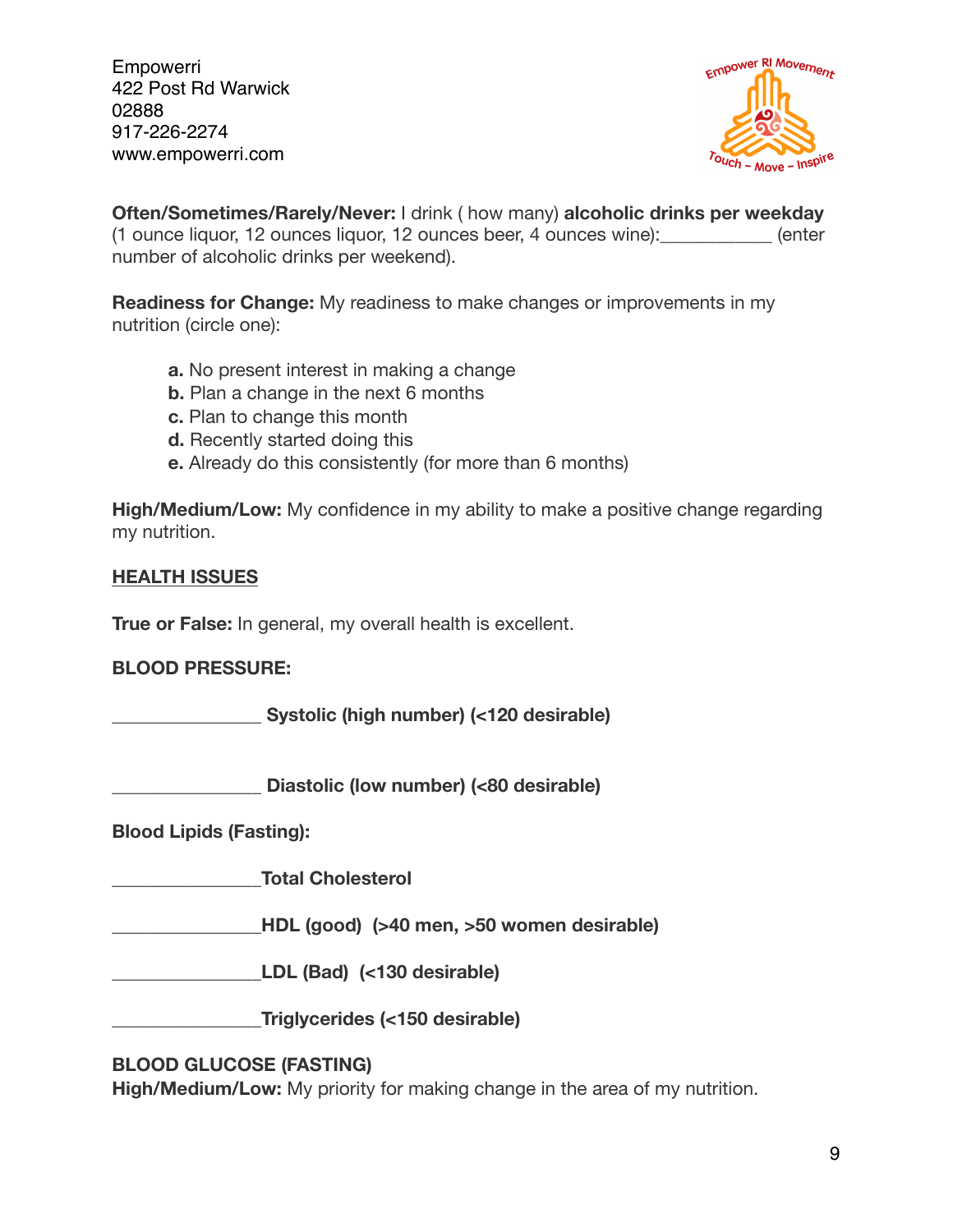

**Often/Sometimes/Rarely/Never:** I drink ( how many) **alcoholic drinks per weekday**  (1 ounce liquor, 12 ounces liquor, 12 ounces beer, 4 ounces wine):\_\_\_\_\_\_\_\_\_\_\_\_ (enter number of alcoholic drinks per weekend).

**Readiness for Change:** My readiness to make changes or improvements in my nutrition (circle one):

- **a.** No present interest in making a change
- **b.** Plan a change in the next 6 months
- **c.** Plan to change this month
- **d.** Recently started doing this
- **e.** Already do this consistently (for more than 6 months)

**High/Medium/Low:** My confidence in my ability to make a positive change regarding my nutrition.

## **HEALTH ISSUES**

**True or False:** In general, my overall health is excellent.

## **BLOOD PRESSURE:**

**\_\_\_\_\_\_\_\_\_\_\_\_\_\_\_\_ Systolic (high number) (<120 desirable)** 

**\_\_\_\_\_\_\_\_\_\_\_\_\_\_\_\_ Diastolic (low number) (<80 desirable)** 

**Blood Lipids (Fasting):** 

**\_\_\_\_\_\_\_\_\_\_\_\_\_\_\_\_Total Cholesterol** 

**\_\_\_\_\_\_\_\_\_\_\_\_\_\_\_\_HDL (good) (>40 men, >50 women desirable)** 

**\_\_\_\_\_\_\_\_\_\_\_\_\_\_\_\_LDL (Bad) (<130 desirable)** 

**\_\_\_\_\_\_\_\_\_\_\_\_\_\_\_\_Triglycerides (<150 desirable)** 

## **BLOOD GLUCOSE (FASTING)**

**High/Medium/Low:** My priority for making change in the area of my nutrition.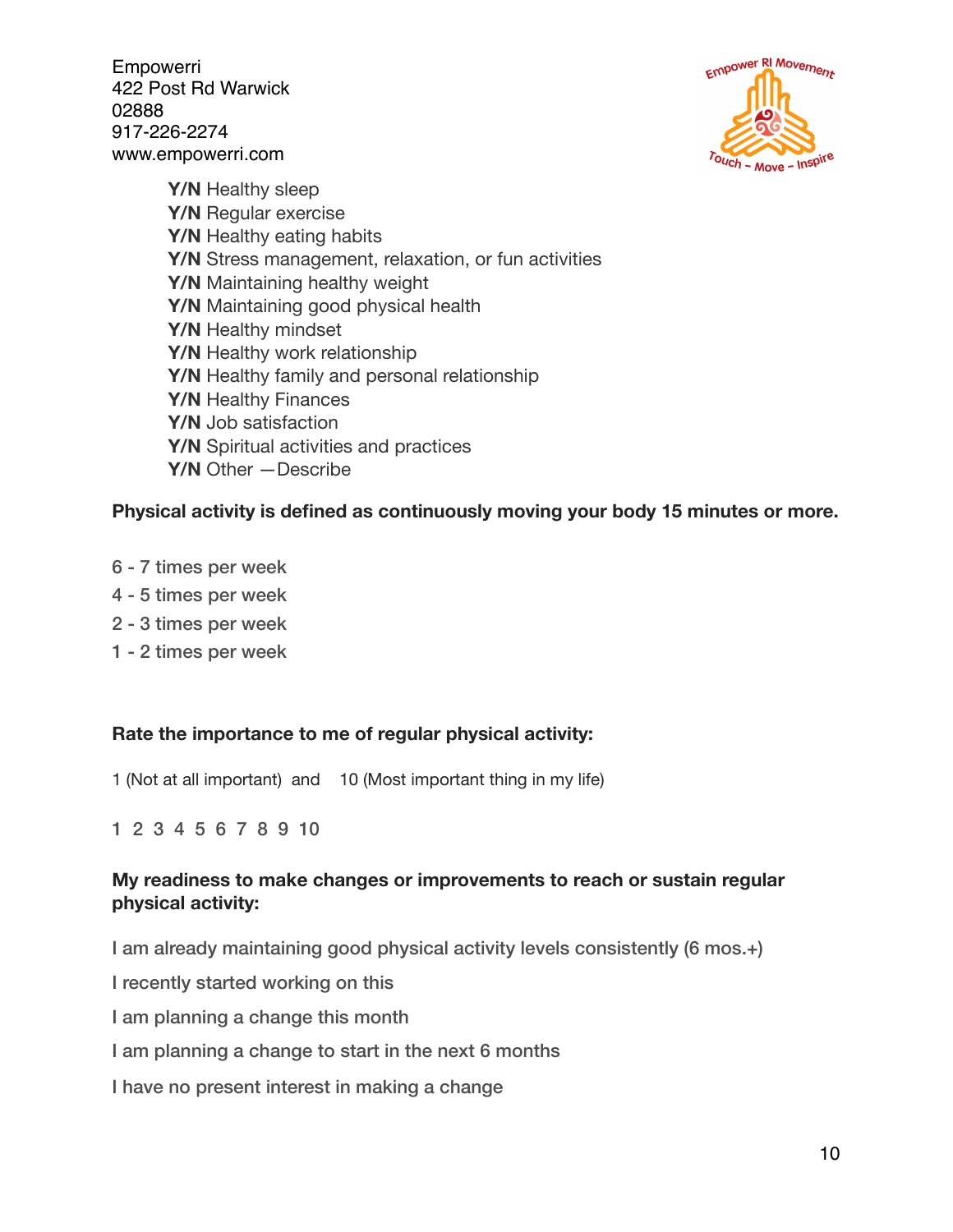

**Y/N** Healthy sleep **Y/N** Regular exercise **Y/N** Healthy eating habits **Y/N** Stress management, relaxation, or fun activities **Y/N** Maintaining healthy weight **Y/N** Maintaining good physical health **Y/N** Healthy mindset **Y/N** Healthy work relationship **Y/N** Healthy family and personal relationship **Y/N** Healthy Finances **Y/N** Job satisfaction **Y/N** Spiritual activities and practices **Y/N** Other —Describe

#### **Physical activity is defined as continuously moving your body 15 minutes or more.**

- 6 7 times per week
- 4 5 times per week
- 2 3 times per week
- 1 2 times per week

#### **Rate the importance to me of regular physical activity:**

1 (Not at all important) and 10 (Most important thing in my life)

1 2 3 4 5 6 7 8 9 10

## **My readiness to make changes or improvements to reach or sustain regular physical activity:**

I am already maintaining good physical activity levels consistently (6 mos.+)

I recently started working on this

I am planning a change this month

I am planning a change to start in the next 6 months

I have no present interest in making a change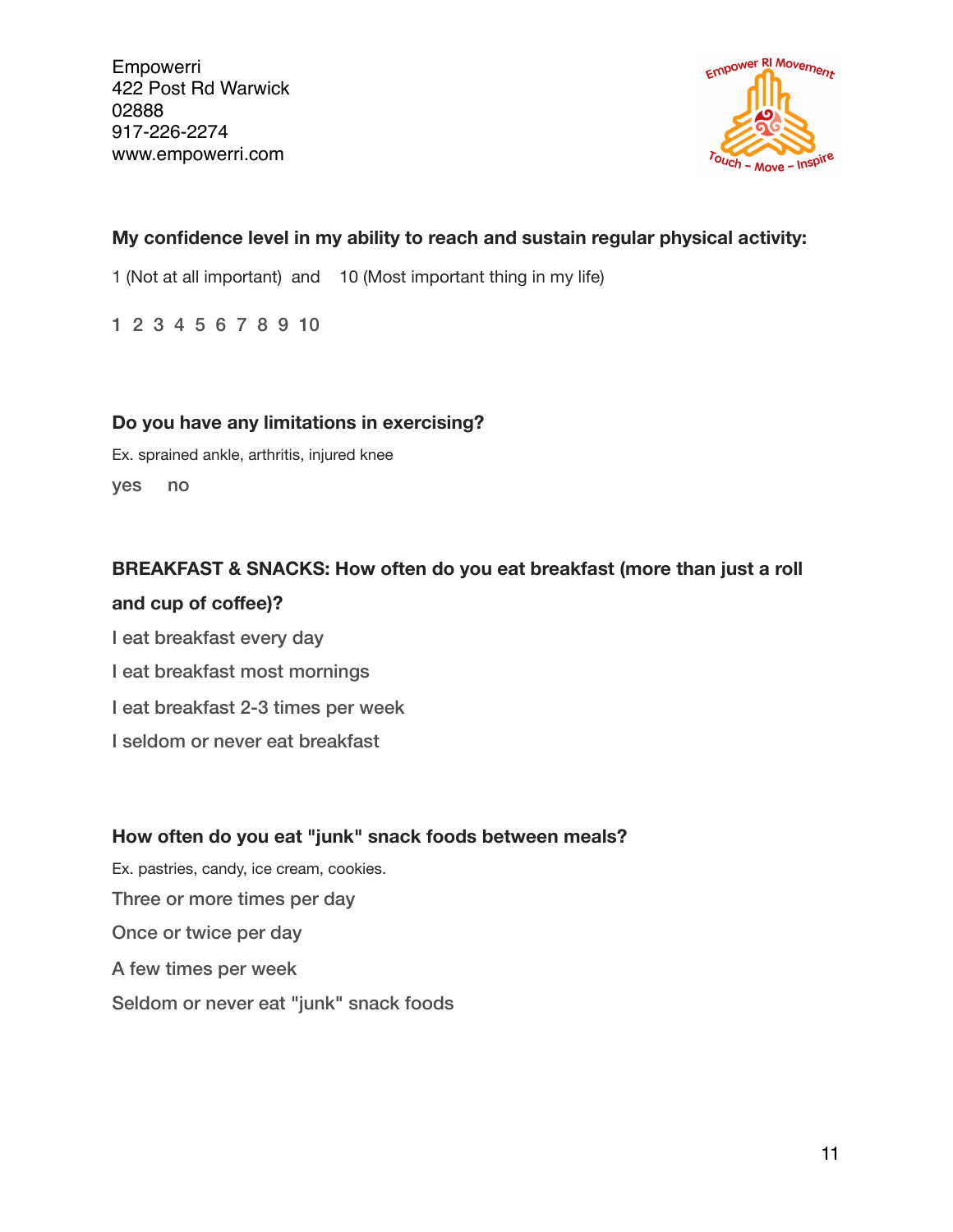

## **My confidence level in my ability to reach and sustain regular physical activity:**

1 (Not at all important) and 10 (Most important thing in my life)

1 2 3 4 5 6 7 8 9 10

#### **Do you have any limitations in exercising?**

Ex. sprained ankle, arthritis, injured knee yes no

## **BREAKFAST & SNACKS: How often do you eat breakfast (more than just a roll**

#### and cup of coffee)?

I eat breakfast every day I eat breakfast most mornings I eat breakfast 2-3 times per week I seldom or never eat breakfast

## **How often do you eat "junk" snack foods between meals?**

Ex. pastries, candy, ice cream, cookies. Three or more times per day Once or twice per day A few times per week Seldom or never eat "junk" snack foods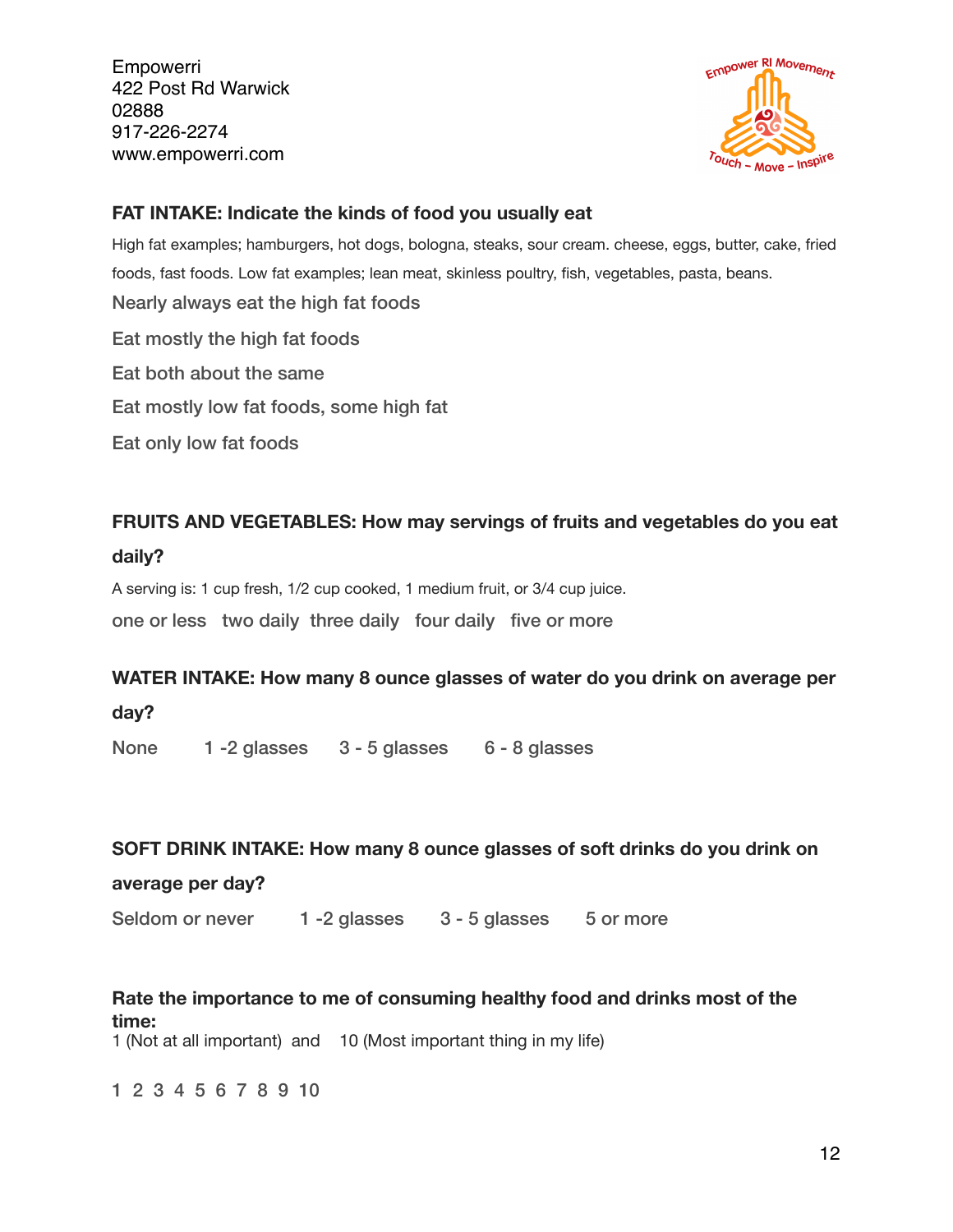

## **FAT INTAKE: Indicate the kinds of food you usually eat**

High fat examples; hamburgers, hot dogs, bologna, steaks, sour cream. cheese, eggs, butter, cake, fried foods, fast foods. Low fat examples; lean meat, skinless poultry, fish, vegetables, pasta, beans. Nearly always eat the high fat foods Eat mostly the high fat foods Eat both about the same Eat mostly low fat foods, some high fat Eat only low fat foods

## **FRUITS AND VEGETABLES: How may servings of fruits and vegetables do you eat**

#### **daily?**

A serving is: 1 cup fresh, 1/2 cup cooked, 1 medium fruit, or 3/4 cup juice.

one or less two daily three daily four daily five or more

## **WATER INTAKE: How many 8 ounce glasses of water do you drink on average per**

**day?**

None 1 -2 glasses 3 - 5 glasses 6 - 8 glasses

#### **SOFT DRINK INTAKE: How many 8 ounce glasses of soft drinks do you drink on**

#### **average per day?**

Seldom or never 1 -2 glasses 3 - 5 glasses 5 or more

## **Rate the importance to me of consuming healthy food and drinks most of the time:**

1 (Not at all important) and 10 (Most important thing in my life)

1 2 3 4 5 6 7 8 9 10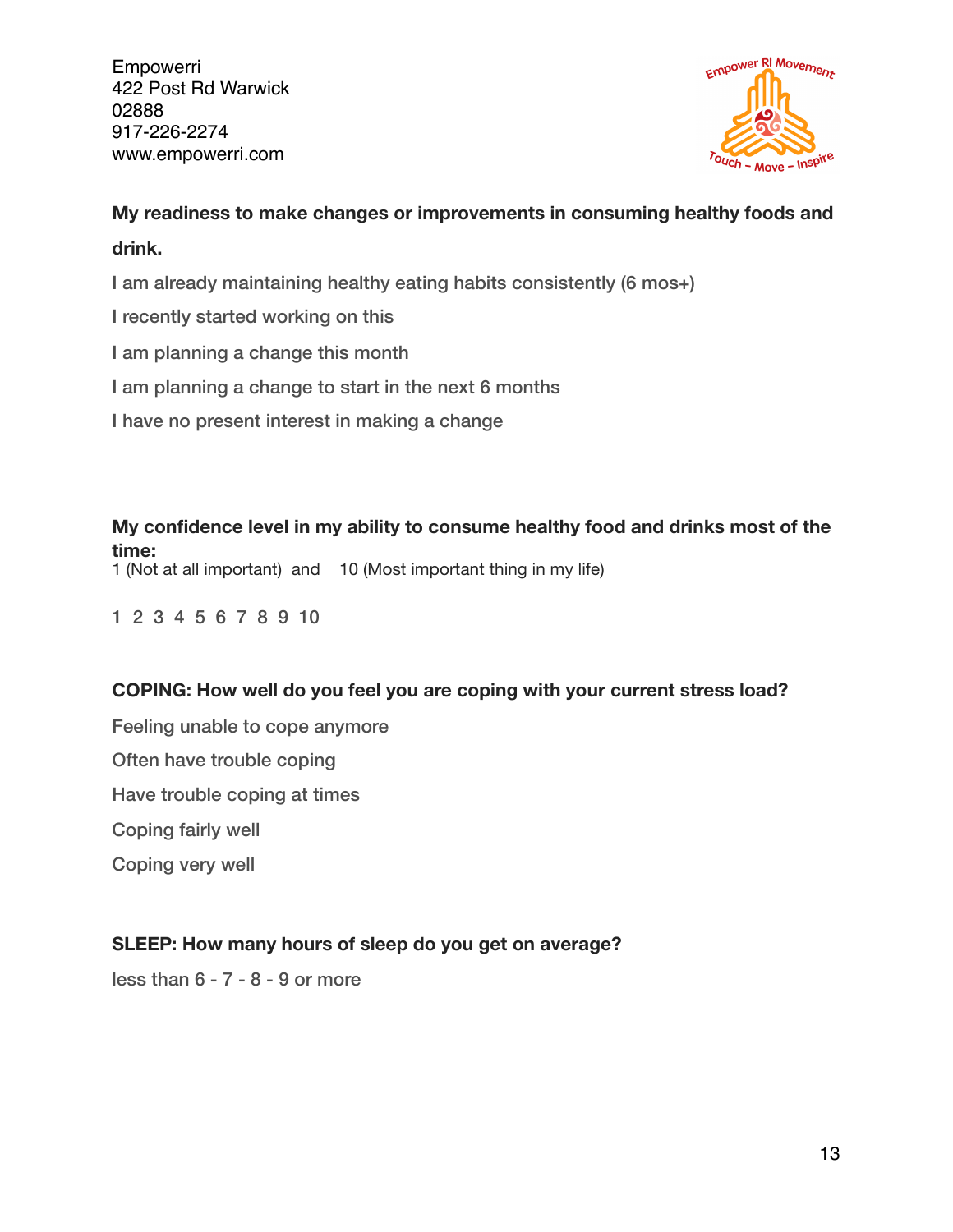

# **My readiness to make changes or improvements in consuming healthy foods and**

# **drink.**

I am already maintaining healthy eating habits consistently (6 mos+)

- I recently started working on this
- I am planning a change this month
- I am planning a change to start in the next 6 months
- I have no present interest in making a change

**My confidence level in my ability to consume healthy food and drinks most of the time:**

1 (Not at all important) and 10 (Most important thing in my life)

1 2 3 4 5 6 7 8 9 10

## **COPING: How well do you feel you are coping with your current stress load?**

Feeling unable to cope anymore Often have trouble coping Have trouble coping at times Coping fairly well Coping very well

## **SLEEP: How many hours of sleep do you get on average?**

less than 6 - 7 - 8 - 9 or more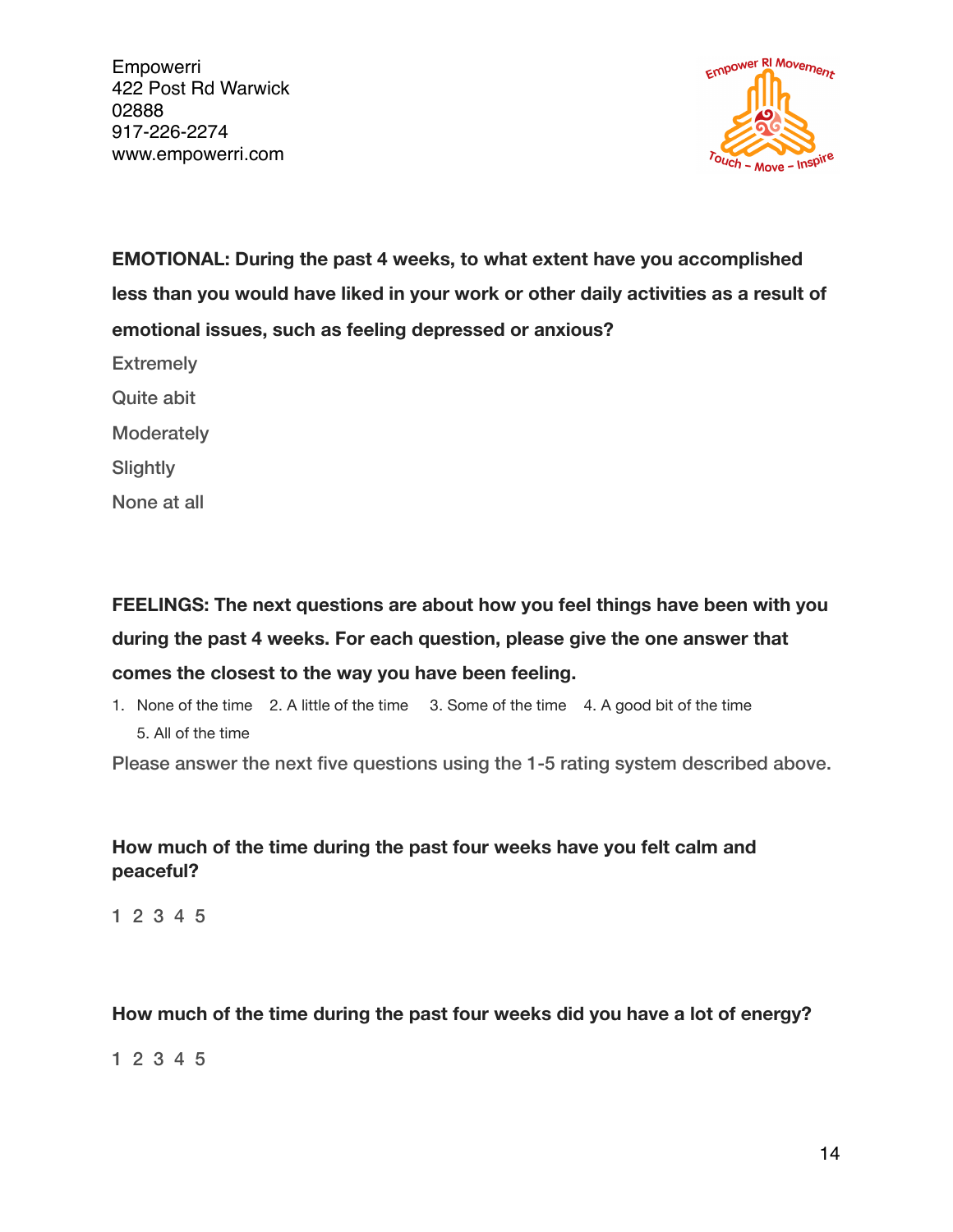

**EMOTIONAL: During the past 4 weeks, to what extent have you accomplished less than you would have liked in your work or other daily activities as a result of emotional issues, such as feeling depressed or anxious?**

**Extremely** 

Quite abit

**Moderately** 

**Slightly** 

None at all

**FEELINGS: The next questions are about how you feel things have been with you during the past 4 weeks. For each question, please give the one answer that comes the closest to the way you have been feeling.**

1. None of the time 2. A little of the time 3. Some of the time 4. A good bit of the time 5. All of the time

Please answer the next five questions using the 1-5 rating system described above.

## **How much of the time during the past four weeks have you felt calm and peaceful?**

1 2 3 4 5

#### **How much of the time during the past four weeks did you have a lot of energy?**

1 2 3 4 5